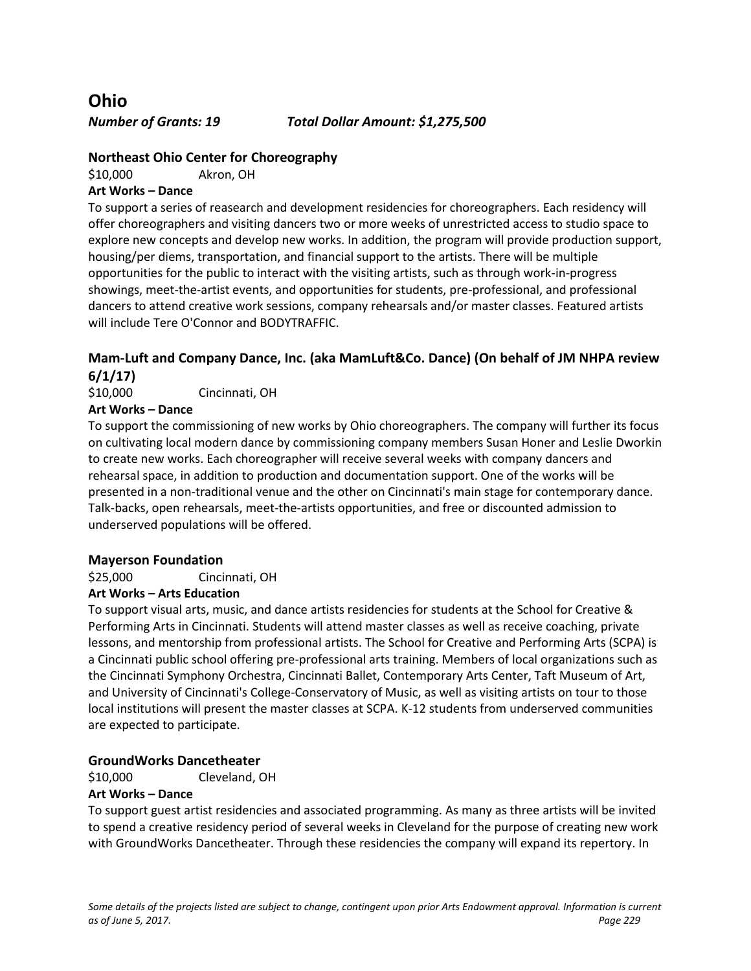**Ohio**

*Number of Grants: 19 Total Dollar Amount: \$1,275,500*

## **Northeast Ohio Center for Choreography**

\$10,000 Akron, OH

### **Art Works – Dance**

To support a series of reasearch and development residencies for choreographers. Each residency will offer choreographers and visiting dancers two or more weeks of unrestricted access to studio space to explore new concepts and develop new works. In addition, the program will provide production support, housing/per diems, transportation, and financial support to the artists. There will be multiple opportunities for the public to interact with the visiting artists, such as through work-in-progress showings, meet-the-artist events, and opportunities for students, pre-professional, and professional dancers to attend creative work sessions, company rehearsals and/or master classes. Featured artists will include Tere O'Connor and BODYTRAFFIC.

# **Mam-Luft and Company Dance, Inc. (aka MamLuft&Co. Dance) (On behalf of JM NHPA review 6/1/17)**

\$10,000 Cincinnati, OH

### **Art Works – Dance**

To support the commissioning of new works by Ohio choreographers. The company will further its focus on cultivating local modern dance by commissioning company members Susan Honer and Leslie Dworkin to create new works. Each choreographer will receive several weeks with company dancers and rehearsal space, in addition to production and documentation support. One of the works will be presented in a non-traditional venue and the other on Cincinnati's main stage for contemporary dance. Talk-backs, open rehearsals, meet-the-artists opportunities, and free or discounted admission to underserved populations will be offered.

#### **Mayerson Foundation**

\$25,000 Cincinnati, OH

### **Art Works – Arts Education**

To support visual arts, music, and dance artists residencies for students at the School for Creative & Performing Arts in Cincinnati. Students will attend master classes as well as receive coaching, private lessons, and mentorship from professional artists. The School for Creative and Performing Arts (SCPA) is a Cincinnati public school offering pre-professional arts training. Members of local organizations such as the Cincinnati Symphony Orchestra, Cincinnati Ballet, Contemporary Arts Center, Taft Museum of Art, and University of Cincinnati's College-Conservatory of Music, as well as visiting artists on tour to those local institutions will present the master classes at SCPA. K-12 students from underserved communities are expected to participate.

### **GroundWorks Dancetheater**

\$10,000 Cleveland, OH

#### **Art Works – Dance**

To support guest artist residencies and associated programming. As many as three artists will be invited to spend a creative residency period of several weeks in Cleveland for the purpose of creating new work with GroundWorks Dancetheater. Through these residencies the company will expand its repertory. In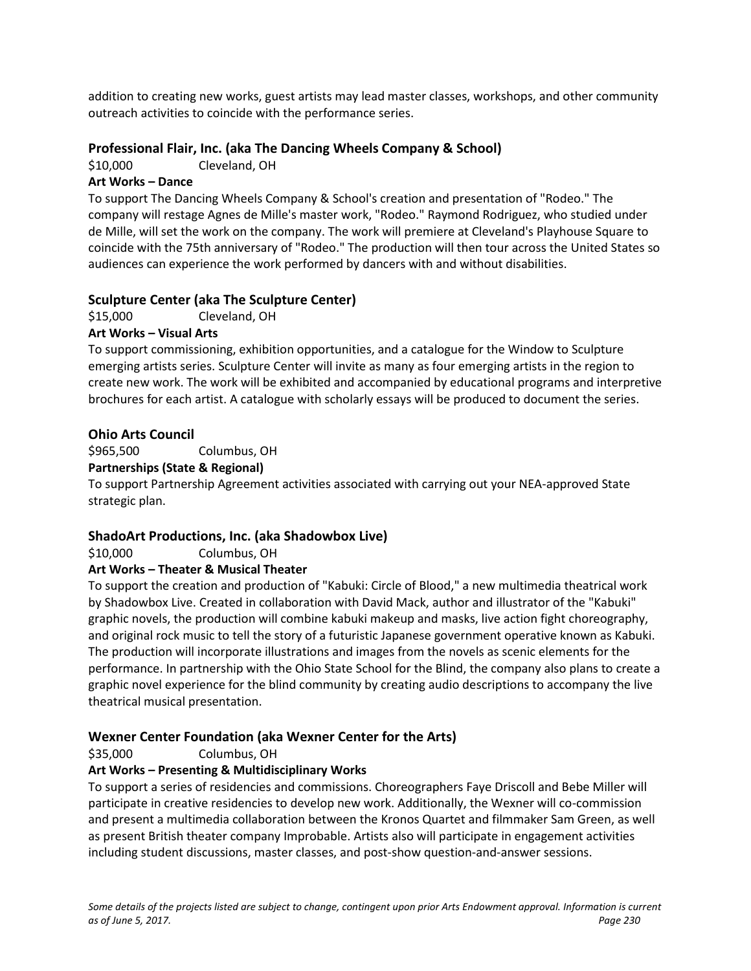addition to creating new works, guest artists may lead master classes, workshops, and other community outreach activities to coincide with the performance series.

## **Professional Flair, Inc. (aka The Dancing Wheels Company & School)**

\$10,000 Cleveland, OH

## **Art Works – Dance**

To support The Dancing Wheels Company & School's creation and presentation of "Rodeo." The company will restage Agnes de Mille's master work, "Rodeo." Raymond Rodriguez, who studied under de Mille, will set the work on the company. The work will premiere at Cleveland's Playhouse Square to coincide with the 75th anniversary of "Rodeo." The production will then tour across the United States so audiences can experience the work performed by dancers with and without disabilities.

# **Sculpture Center (aka The Sculpture Center)**

\$15,000 Cleveland, OH

### **Art Works – Visual Arts**

To support commissioning, exhibition opportunities, and a catalogue for the Window to Sculpture emerging artists series. Sculpture Center will invite as many as four emerging artists in the region to create new work. The work will be exhibited and accompanied by educational programs and interpretive brochures for each artist. A catalogue with scholarly essays will be produced to document the series.

### **Ohio Arts Council**

\$965,500 Columbus, OH

### **Partnerships (State & Regional)**

To support Partnership Agreement activities associated with carrying out your NEA-approved State strategic plan.

### **ShadoArt Productions, Inc. (aka Shadowbox Live)**

\$10,000 Columbus, OH

### **Art Works – Theater & Musical Theater**

To support the creation and production of "Kabuki: Circle of Blood," a new multimedia theatrical work by Shadowbox Live. Created in collaboration with David Mack, author and illustrator of the "Kabuki" graphic novels, the production will combine kabuki makeup and masks, live action fight choreography, and original rock music to tell the story of a futuristic Japanese government operative known as Kabuki. The production will incorporate illustrations and images from the novels as scenic elements for the performance. In partnership with the Ohio State School for the Blind, the company also plans to create a graphic novel experience for the blind community by creating audio descriptions to accompany the live theatrical musical presentation.

### **Wexner Center Foundation (aka Wexner Center for the Arts)**

\$35,000 Columbus, OH

### **Art Works – Presenting & Multidisciplinary Works**

To support a series of residencies and commissions. Choreographers Faye Driscoll and Bebe Miller will participate in creative residencies to develop new work. Additionally, the Wexner will co-commission and present a multimedia collaboration between the Kronos Quartet and filmmaker Sam Green, as well as present British theater company Improbable. Artists also will participate in engagement activities including student discussions, master classes, and post-show question-and-answer sessions.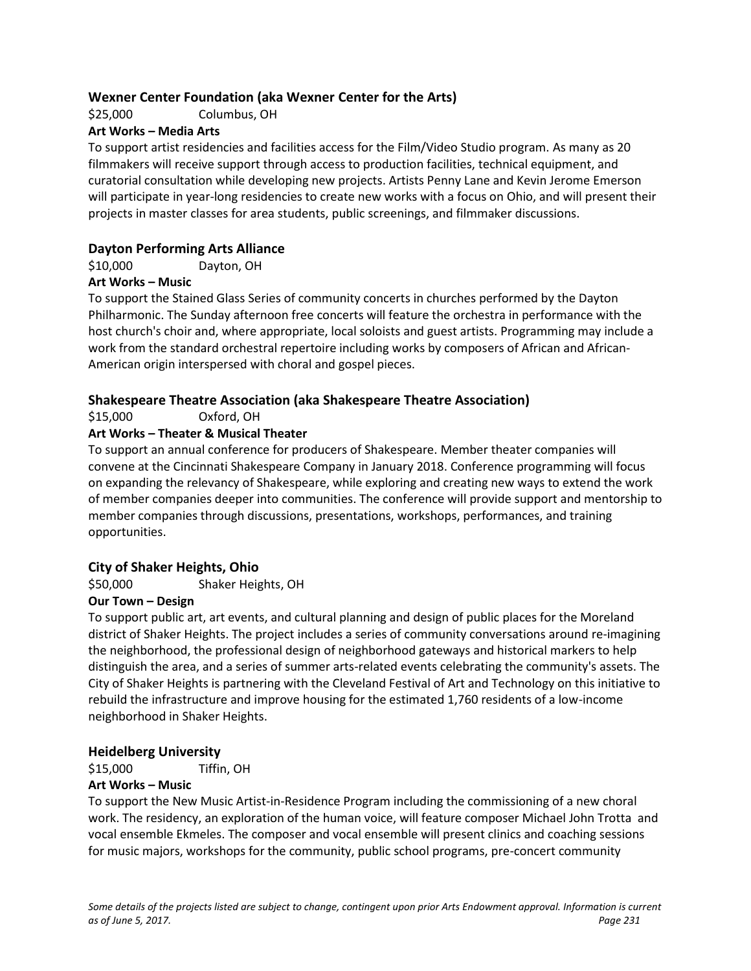## **Wexner Center Foundation (aka Wexner Center for the Arts)**

\$25,000 Columbus, OH

### **Art Works – Media Arts**

To support artist residencies and facilities access for the Film/Video Studio program. As many as 20 filmmakers will receive support through access to production facilities, technical equipment, and curatorial consultation while developing new projects. Artists Penny Lane and Kevin Jerome Emerson will participate in year-long residencies to create new works with a focus on Ohio, and will present their projects in master classes for area students, public screenings, and filmmaker discussions.

# **Dayton Performing Arts Alliance**

\$10,000 Dayton, OH

### **Art Works – Music**

To support the Stained Glass Series of community concerts in churches performed by the Dayton Philharmonic. The Sunday afternoon free concerts will feature the orchestra in performance with the host church's choir and, where appropriate, local soloists and guest artists. Programming may include a work from the standard orchestral repertoire including works by composers of African and African-American origin interspersed with choral and gospel pieces.

### **Shakespeare Theatre Association (aka Shakespeare Theatre Association)**

\$15,000 Oxford, OH

## **Art Works – Theater & Musical Theater**

To support an annual conference for producers of Shakespeare. Member theater companies will convene at the Cincinnati Shakespeare Company in January 2018. Conference programming will focus on expanding the relevancy of Shakespeare, while exploring and creating new ways to extend the work of member companies deeper into communities. The conference will provide support and mentorship to member companies through discussions, presentations, workshops, performances, and training opportunities.

### **City of Shaker Heights, Ohio**

\$50,000 Shaker Heights, OH

### **Our Town – Design**

To support public art, art events, and cultural planning and design of public places for the Moreland district of Shaker Heights. The project includes a series of community conversations around re-imagining the neighborhood, the professional design of neighborhood gateways and historical markers to help distinguish the area, and a series of summer arts-related events celebrating the community's assets. The City of Shaker Heights is partnering with the Cleveland Festival of Art and Technology on this initiative to rebuild the infrastructure and improve housing for the estimated 1,760 residents of a low-income neighborhood in Shaker Heights.

### **Heidelberg University**

\$15,000 Tiffin, OH

#### **Art Works – Music**

To support the New Music Artist-in-Residence Program including the commissioning of a new choral work. The residency, an exploration of the human voice, will feature composer Michael John Trotta and vocal ensemble Ekmeles. The composer and vocal ensemble will present clinics and coaching sessions for music majors, workshops for the community, public school programs, pre-concert community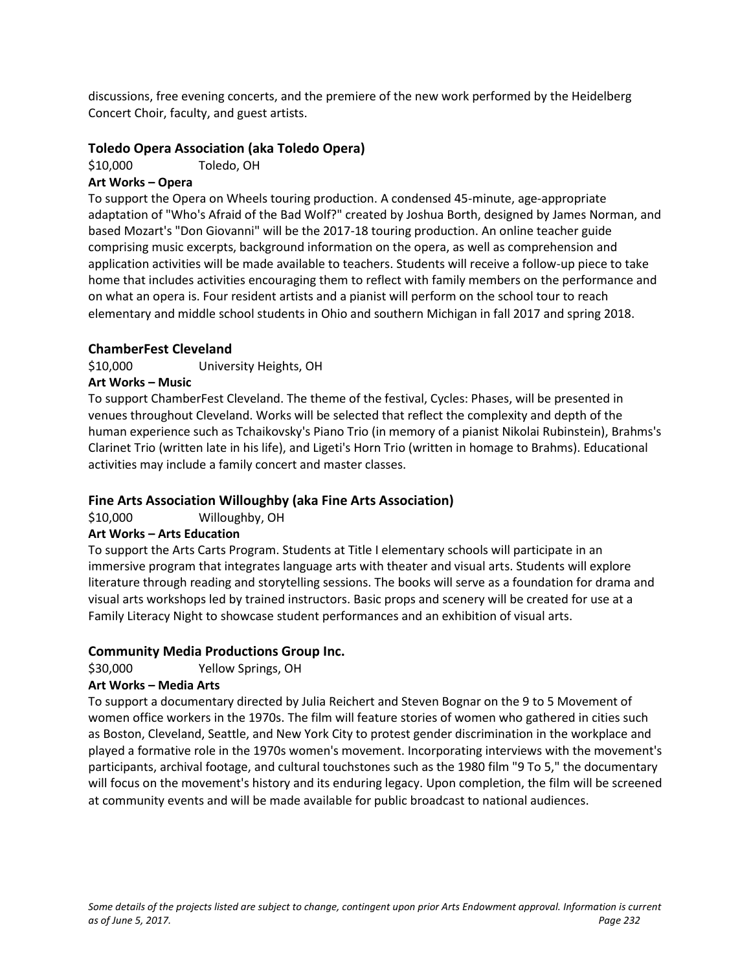discussions, free evening concerts, and the premiere of the new work performed by the Heidelberg Concert Choir, faculty, and guest artists.

## **Toledo Opera Association (aka Toledo Opera)**

\$10,000 Toledo, OH

## **Art Works – Opera**

To support the Opera on Wheels touring production. A condensed 45-minute, age-appropriate adaptation of "Who's Afraid of the Bad Wolf?" created by Joshua Borth, designed by James Norman, and based Mozart's "Don Giovanni" will be the 2017-18 touring production. An online teacher guide comprising music excerpts, background information on the opera, as well as comprehension and application activities will be made available to teachers. Students will receive a follow-up piece to take home that includes activities encouraging them to reflect with family members on the performance and on what an opera is. Four resident artists and a pianist will perform on the school tour to reach elementary and middle school students in Ohio and southern Michigan in fall 2017 and spring 2018.

### **ChamberFest Cleveland**

\$10,000 University Heights, OH

### **Art Works – Music**

To support ChamberFest Cleveland. The theme of the festival, Cycles: Phases, will be presented in venues throughout Cleveland. Works will be selected that reflect the complexity and depth of the human experience such as Tchaikovsky's Piano Trio (in memory of a pianist Nikolai Rubinstein), Brahms's Clarinet Trio (written late in his life), and Ligeti's Horn Trio (written in homage to Brahms). Educational activities may include a family concert and master classes.

# **Fine Arts Association Willoughby (aka Fine Arts Association)**

\$10,000 Willoughby, OH

### **Art Works – Arts Education**

To support the Arts Carts Program. Students at Title I elementary schools will participate in an immersive program that integrates language arts with theater and visual arts. Students will explore literature through reading and storytelling sessions. The books will serve as a foundation for drama and visual arts workshops led by trained instructors. Basic props and scenery will be created for use at a Family Literacy Night to showcase student performances and an exhibition of visual arts.

### **Community Media Productions Group Inc.**

\$30,000 Yellow Springs, OH

### **Art Works – Media Arts**

To support a documentary directed by Julia Reichert and Steven Bognar on the 9 to 5 Movement of women office workers in the 1970s. The film will feature stories of women who gathered in cities such as Boston, Cleveland, Seattle, and New York City to protest gender discrimination in the workplace and played a formative role in the 1970s women's movement. Incorporating interviews with the movement's participants, archival footage, and cultural touchstones such as the 1980 film "9 To 5," the documentary will focus on the movement's history and its enduring legacy. Upon completion, the film will be screened at community events and will be made available for public broadcast to national audiences.